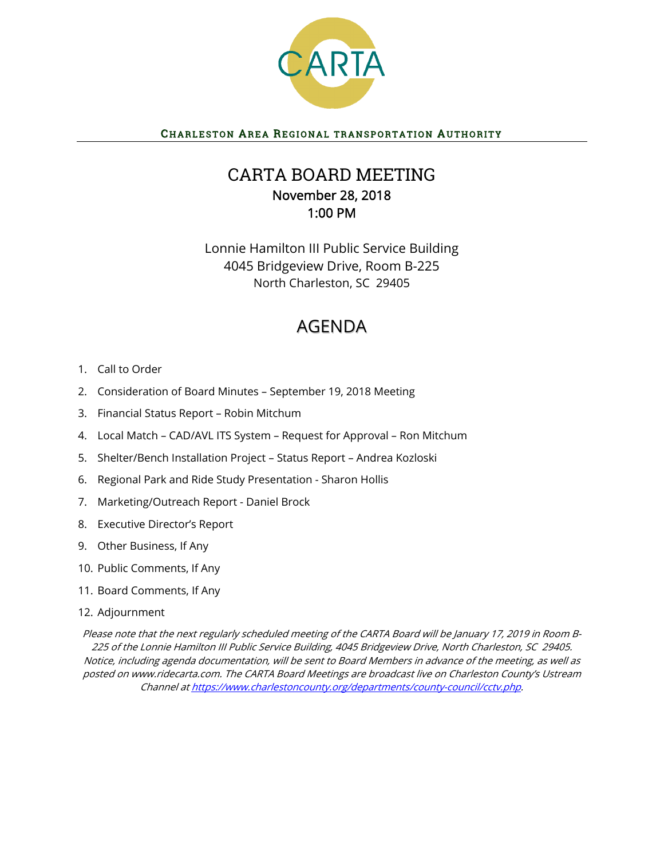

## CHARLESTON AREA REGIONAL TRANSPORTATION AUTHORITY

## CARTA BOARD MEETING November 28, 2018 1:00 PM

Lonnie Hamilton III Public Service Building 4045 Bridgeview Drive, Room B-225 North Charleston, SC 29405

# AGENDA

- 1. Call to Order
- 2. Consideration of Board Minutes September 19, 2018 Meeting
- 3. Financial Status Report Robin Mitchum
- 4. Local Match CAD/AVL ITS System Request for Approval Ron Mitchum
- 5. Shelter/Bench Installation Project Status Report Andrea Kozloski
- 6. Regional Park and Ride Study Presentation Sharon Hollis
- 7. Marketing/Outreach Report Daniel Brock
- 8. Executive Director's Report
- 9. Other Business, If Any
- 10. Public Comments, If Any
- 11. Board Comments, If Any
- 12. Adjournment

Please note that the next regularly scheduled meeting of the CARTA Board will be January 17, 2019 in Room B-225 of the Lonnie Hamilton III Public Service Building, 4045 Bridgeview Drive, North Charleston, SC 29405. Notice, including agenda documentation, will be sent to Board Members in advance of the meeting, as well as posted on www.ridecarta.com. The CARTA Board Meetings are broadcast live on Charleston County's Ustream Channel at https://www.charlestoncounty.org/departments/county-council/cctv.php.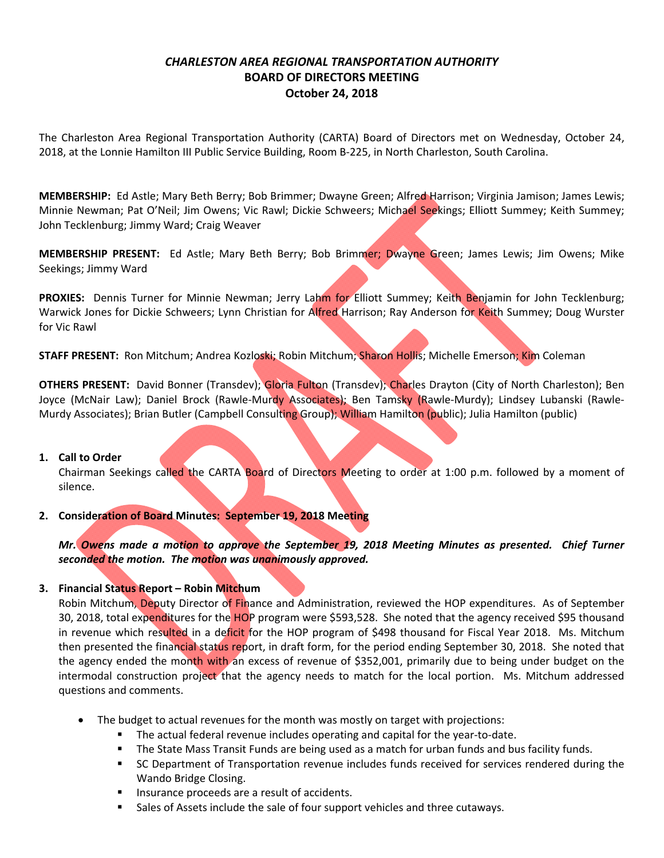## *CHARLESTON AREA REGIONAL TRANSPORTATION AUTHORITY*  **BOARD OF DIRECTORS MEETING October 24, 2018**

The Charleston Area Regional Transportation Authority (CARTA) Board of Directors met on Wednesday, October 24, 2018, at the Lonnie Hamilton III Public Service Building, Room B‐225, in North Charleston, South Carolina.

**MEMBERSHIP:** Ed Astle; Mary Beth Berry; Bob Brimmer; Dwayne Green; Alfred Harrison; Virginia Jamison; James Lewis; Minnie Newman; Pat O'Neil; Jim Owens; Vic Rawl; Dickie Schweers; Michael Seekings; Elliott Summey; Keith Summey; John Tecklenburg; Jimmy Ward; Craig Weaver

**MEMBERSHIP PRESENT:**  Ed Astle; Mary Beth Berry; Bob Brimmer; Dwayne Green; James Lewis; Jim Owens; Mike Seekings; Jimmy Ward

PROXIES: Dennis Turner for Minnie Newman; Jerry Lahm for Elliott Summey; Keith Benjamin for John Tecklenburg; Warwick Jones for Dickie Schweers; Lynn Christian for Alfred Harrison; Ray Anderson for Keith Summey; Doug Wurster for Vic Rawl

**STAFF PRESENT:** Ron Mitchum; Andrea Kozloski; Robin Mitchum; Sharon Hollis; Michelle Emerson; Kim Coleman

**OTHERS PRESENT:**  David Bonner (Transdev); Gloria Fulton (Transdev); Charles Drayton (City of North Charleston); Ben Joyce (McNair Law); Daniel Brock (Rawle-Murdy Associates); Ben Tamsky (Rawle-Murdy); Lindsey Lubanski (Rawle-Murdy Associates); Brian Butler (Campbell Consulting Group); William Hamilton (public); Julia Hamilton (public)

#### **1. Call to Order**

Chairman Seekings called the CARTA Board of Directors Meeting to order at 1:00 p.m. followed by a moment of silence.

**2. Consideration of Board Minutes: September 19, 2018 Meeting** 

*Mr. Owens made a motion to approve the September 19, 2018 Meeting Minutes as presented. Chief Turner seconded the motion. The motion was unanimously approved.* 

## **3. Financial Status Report – Robin Mitchum**

Robin Mitchum, Deputy Director of Finance and Administration, reviewed the HOP expenditures. As of September 30, 2018, total expenditures for the HOP program were \$593,528. She noted that the agency received \$95 thousand in revenue which resulted in a deficit for the HOP program of \$498 thousand for Fiscal Year 2018. Ms. Mitchum then presented the financial status report, in draft form, for the period ending September 30, 2018. She noted that the agency ended the month with an excess of revenue of \$352,001, primarily due to being under budget on the intermodal construction project that the agency needs to match for the local portion. Ms. Mitchum addressed questions and comments.

- The budget to actual revenues for the month was mostly on target with projections:
	- The actual federal revenue includes operating and capital for the year-to-date.
	- **The State Mass Transit Funds are being used as a match for urban funds and bus facility funds.**
	- SC Department of Transportation revenue includes funds received for services rendered during the Wando Bridge Closing.
	- **Insurance proceeds are a result of accidents.**
	- **Sales of Assets include the sale of four support vehicles and three cutaways.**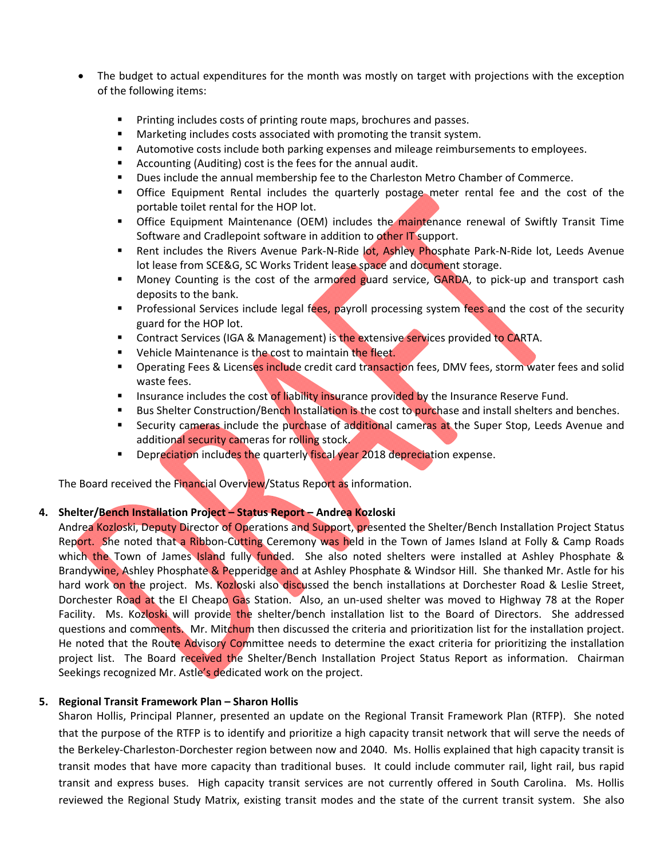- The budget to actual expenditures for the month was mostly on target with projections with the exception of the following items:
	- **Printing includes costs of printing route maps, brochures and passes.**
	- Marketing includes costs associated with promoting the transit system.
	- **Automotive costs include both parking expenses and mileage reimbursements to employees.**
	- Accounting (Auditing) cost is the fees for the annual audit.
	- **Dues include the annual membership fee to the Charleston Metro Chamber of Commerce.**
	- Office Equipment Rental includes the quarterly postage meter rental fee and the cost of the portable toilet rental for the HOP lot.
	- **The State Equipment Maintenance (OEM) includes the maintenance renewal of Swiftly Transit Time** Software and Cradlepoint software in addition to other IT support.
	- Rent includes the Rivers Avenue Park-N-Ride lot, Ashley Phosphate Park-N-Ride lot, Leeds Avenue lot lease from SCE&G, SC Works Trident lease space and document storage.
	- Money Counting is the cost of the armored guard service, GARDA, to pick-up and transport cash deposits to the bank.
	- **Professional Services include legal fees, payroll processing system fees and the cost of the security** guard for the HOP lot.
	- **Contract Services (IGA & Management) is the extensive services provided to CARTA.**
	- **UPERFILEMA** Vehicle Maintenance is the cost to maintain the fleet.
	- **Derating Fees & Licenses include credit card transaction fees, DMV fees, storm water fees and solid** waste fees.
	- **Insurance includes the cost of liability insurance provided by the Insurance Reserve Fund.**
	- Bus Shelter Construction/Bench Installation is the cost to purchase and install shelters and benches.
	- Security cameras include the purchase of additional cameras at the Super Stop, Leeds Avenue and additional security cameras for rolling stock.
	- **Depreciation includes the quarterly fiscal year 2018 depreciation expense.**

The Board received the Financial Overview/Status Report as information.

## **4. Shelter/Bench Installation Project – Status Report – Andrea Kozloski**

Andrea Kozloski, Deputy Director of Operations and Support, presented the Shelter/Bench Installation Project Status Report. She noted that a Ribbon-Cutting Ceremony was held in the Town of James Island at Folly & Camp Roads which the Town of James Island fully funded. She also noted shelters were installed at Ashley Phosphate & Brandywine, Ashley Phosphate & Pepperidge and at Ashley Phosphate & Windsor Hill. She thanked Mr. Astle for his hard work on the project. Ms. Kozloski also discussed the bench installations at Dorchester Road & Leslie Street, Dorchester Road at the El Cheapo Gas Station. Also, an un-used shelter was moved to Highway 78 at the Roper Facility. Ms. Kozloski will provide the shelter/bench installation list to the Board of Directors. She addressed questions and comments. Mr. Mitchum then discussed the criteria and prioritization list for the installation project. He noted that the Route Advisory Committee needs to determine the exact criteria for prioritizing the installation project list. The Board received the Shelter/Bench Installation Project Status Report as information. Chairman Seekings recognized Mr. Astle's dedicated work on the project.

#### **5. Regional Transit Framework Plan – Sharon Hollis**

Sharon Hollis, Principal Planner, presented an update on the Regional Transit Framework Plan (RTFP). She noted that the purpose of the RTFP is to identify and prioritize a high capacity transit network that will serve the needs of the Berkeley‐Charleston‐Dorchester region between now and 2040. Ms. Hollis explained that high capacity transit is transit modes that have more capacity than traditional buses. It could include commuter rail, light rail, bus rapid transit and express buses. High capacity transit services are not currently offered in South Carolina. Ms. Hollis reviewed the Regional Study Matrix, existing transit modes and the state of the current transit system. She also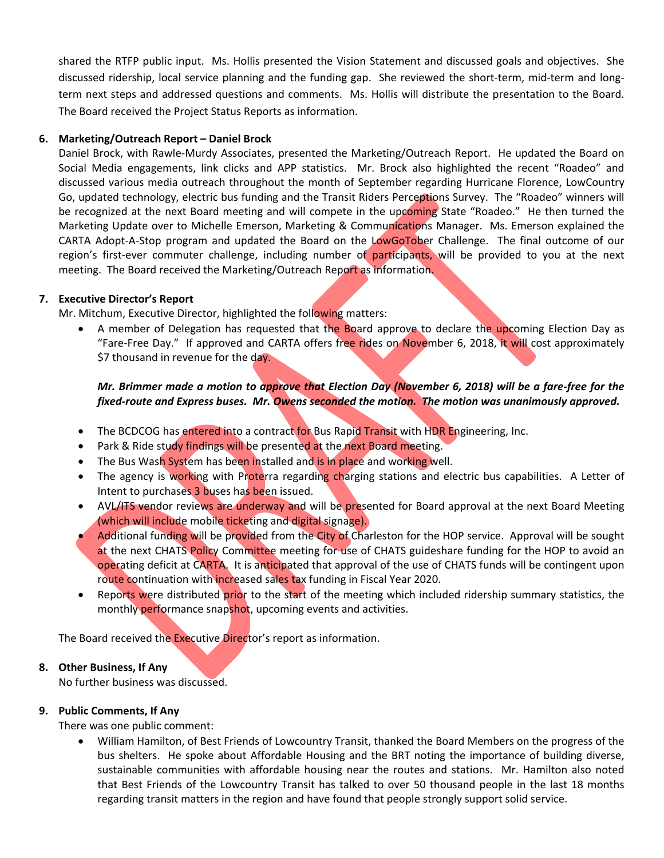shared the RTFP public input. Ms. Hollis presented the Vision Statement and discussed goals and objectives. She discussed ridership, local service planning and the funding gap. She reviewed the short-term, mid-term and longterm next steps and addressed questions and comments. Ms. Hollis will distribute the presentation to the Board. The Board received the Project Status Reports as information.

## **6. Marketing/Outreach Report – Daniel Brock**

Daniel Brock, with Rawle‐Murdy Associates, presented the Marketing/Outreach Report. He updated the Board on Social Media engagements, link clicks and APP statistics. Mr. Brock also highlighted the recent "Roadeo" and discussed various media outreach throughout the month of September regarding Hurricane Florence, LowCountry Go, updated technology, electric bus funding and the Transit Riders Perceptions Survey. The "Roadeo" winners will be recognized at the next Board meeting and will compete in the upcoming State "Roadeo." He then turned the Marketing Update over to Michelle Emerson, Marketing & Communications Manager. Ms. Emerson explained the CARTA Adopt-A-Stop program and updated the Board on the LowGoTober Challenge. The final outcome of our region's first-ever commuter challenge, including number of participants, will be provided to you at the next meeting. The Board received the Marketing/Outreach Report as information.

## **7. Executive Director's Report**

Mr. Mitchum, Executive Director, highlighted the following matters:

A member of Delegation has requested that the Board approve to declare the upcoming Election Day as "Fare-Free Day." If approved and CARTA offers free rides on November 6, 2018, it will cost approximately \$7 thousand in revenue for the day.

## *Mr. Brimmer made a motion to approve that Election Day (November 6, 2018) will be a fare‐free for the fixed‐route and Express buses. Mr. Owens seconded the motion. The motion was unanimously approved.*

- The BCDCOG has entered into a contract for Bus Rapid Transit with HDR Engineering, Inc.
- Park & Ride study findings will be presented at the next Board meeting.
- The Bus Wash System has been installed and is in place and working well.
- The agency is working with Proterra regarding charging stations and electric bus capabilities. A Letter of Intent to purchases 3 buses has been issued.
- AVL/ITS vendor reviews are underway and will be presented for Board approval at the next Board Meeting (which will include mobile ticketing and digital signage).
- Additional funding will be provided from the City of Charleston for the HOP service. Approval will be sought at the next CHATS Policy Committee meeting for use of CHATS guideshare funding for the HOP to avoid an operating deficit at CARTA. It is anticipated that approval of the use of CHATS funds will be contingent upon route continuation with increased sales tax funding in Fiscal Year 2020.
- Reports were distributed prior to the start of the meeting which included ridership summary statistics, the monthly performance snapshot, upcoming events and activities.

The Board received the Executive Director's report as information.

## **8. Other Business, If Any**

No further business was discussed.

#### **9. Public Comments, If Any**

There was one public comment:

 William Hamilton, of Best Friends of Lowcountry Transit, thanked the Board Members on the progress of the bus shelters. He spoke about Affordable Housing and the BRT noting the importance of building diverse, sustainable communities with affordable housing near the routes and stations. Mr. Hamilton also noted that Best Friends of the Lowcountry Transit has talked to over 50 thousand people in the last 18 months regarding transit matters in the region and have found that people strongly support solid service.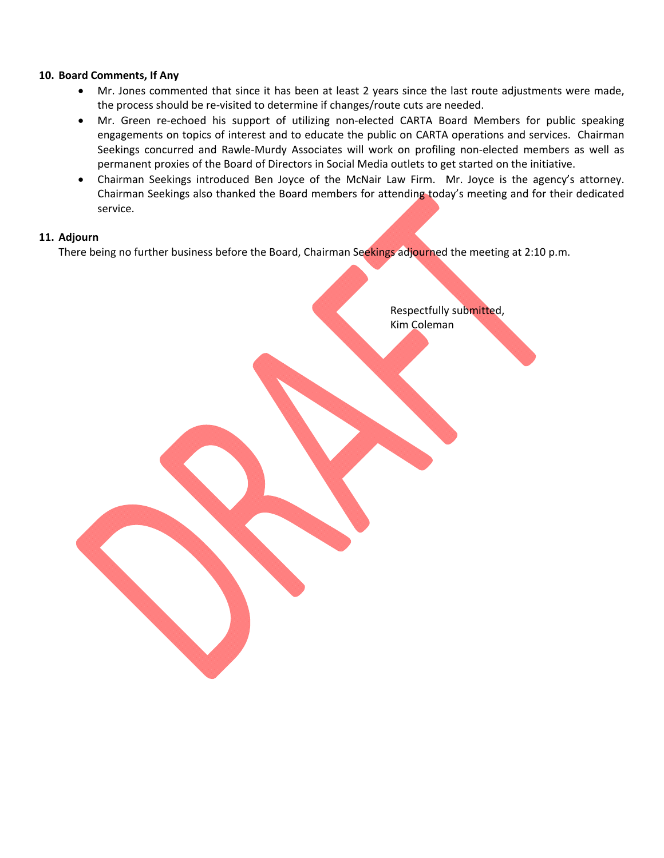#### **10. Board Comments, If Any**

- Mr. Jones commented that since it has been at least 2 years since the last route adjustments were made, the process should be re-visited to determine if changes/route cuts are needed.
- Mr. Green re-echoed his support of utilizing non-elected CARTA Board Members for public speaking engagements on topics of interest and to educate the public on CARTA operations and services. Chairman Seekings concurred and Rawle-Murdy Associates will work on profiling non-elected members as well as permanent proxies of the Board of Directors in Social Media outlets to get started on the initiative.
- Chairman Seekings introduced Ben Joyce of the McNair Law Firm. Mr. Joyce is the agency's attorney. Chairman Seekings also thanked the Board members for attending today's meeting and for their dedicated service.

#### **11. Adjourn**

There being no further business before the Board, Chairman Seekings adjourned the meeting at 2:10 p.m.

 Respectfully submitted, Kim Coleman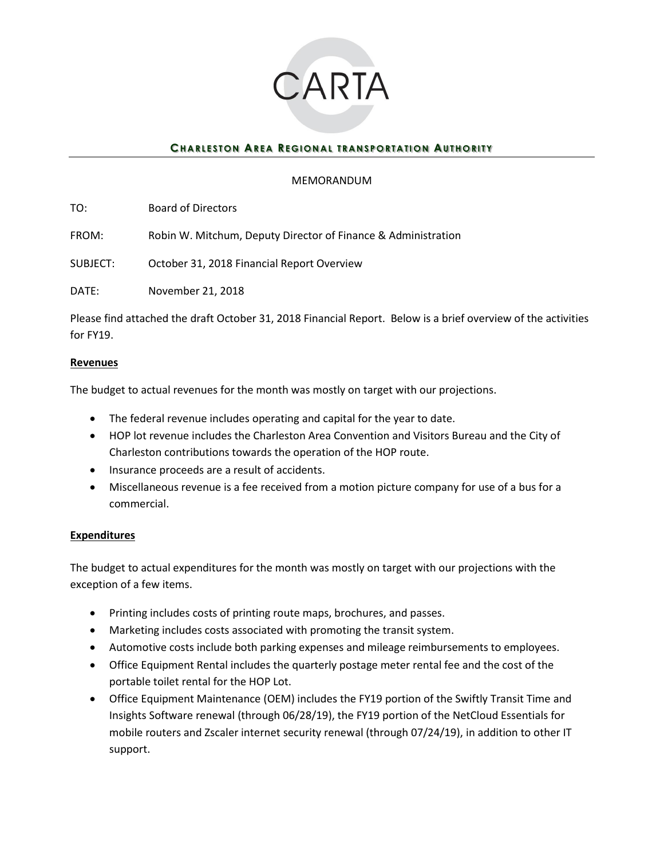

## **CHARLESTON AREA REGIONAL TRANSPORTATION AUTHORITY**

#### MEMORANDUM

TO: Board of Directors

FROM: Robin W. Mitchum, Deputy Director of Finance & Administration

SUBJECT: October 31, 2018 Financial Report Overview

DATE: November 21, 2018

Please find attached the draft October 31, 2018 Financial Report. Below is a brief overview of the activities for FY19.

#### **Revenues**

The budget to actual revenues for the month was mostly on target with our projections.

- The federal revenue includes operating and capital for the year to date.
- HOP lot revenue includes the Charleston Area Convention and Visitors Bureau and the City of Charleston contributions towards the operation of the HOP route.
- Insurance proceeds are a result of accidents.
- Miscellaneous revenue is a fee received from a motion picture company for use of a bus for a commercial.

#### **Expenditures**

The budget to actual expenditures for the month was mostly on target with our projections with the exception of a few items.

- Printing includes costs of printing route maps, brochures, and passes.
- Marketing includes costs associated with promoting the transit system.
- Automotive costs include both parking expenses and mileage reimbursements to employees.
- Office Equipment Rental includes the quarterly postage meter rental fee and the cost of the portable toilet rental for the HOP Lot.
- Office Equipment Maintenance (OEM) includes the FY19 portion of the Swiftly Transit Time and Insights Software renewal (through 06/28/19), the FY19 portion of the NetCloud Essentials for mobile routers and Zscaler internet security renewal (through 07/24/19), in addition to other IT support.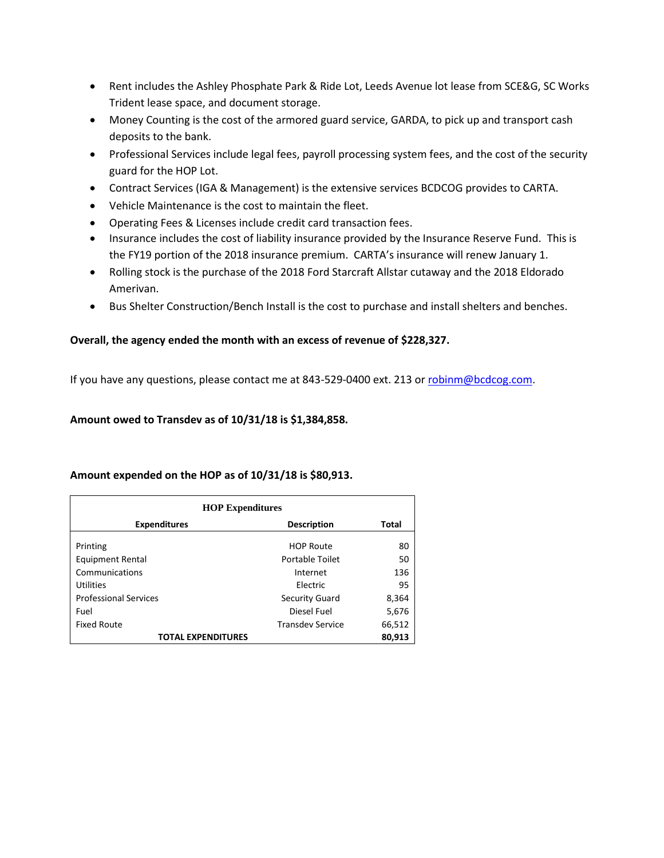- Rent includes the Ashley Phosphate Park & Ride Lot, Leeds Avenue lot lease from SCE&G, SC Works Trident lease space, and document storage.
- Money Counting is the cost of the armored guard service, GARDA, to pick up and transport cash deposits to the bank.
- Professional Services include legal fees, payroll processing system fees, and the cost of the security guard for the HOP Lot.
- Contract Services (IGA & Management) is the extensive services BCDCOG provides to CARTA.
- Vehicle Maintenance is the cost to maintain the fleet.
- Operating Fees & Licenses include credit card transaction fees.
- Insurance includes the cost of liability insurance provided by the Insurance Reserve Fund. This is the FY19 portion of the 2018 insurance premium. CARTA's insurance will renew January 1.
- Rolling stock is the purchase of the 2018 Ford Starcraft Allstar cutaway and the 2018 Eldorado Amerivan.
- Bus Shelter Construction/Bench Install is the cost to purchase and install shelters and benches.

## **Overall, the agency ended the month with an excess of revenue of \$228,327.**

If you have any questions, please contact me at 843-529-0400 ext. 213 o[r robinm@bcdcog.com.](mailto:robinm@bcdcog.com)

#### **Amount owed to Transdev as of 10/31/18 is \$1,384,858.**

#### **Amount expended on the HOP as of 10/31/18 is \$80,913.**

| <b>HOP Expenditures</b>      |                         |              |  |
|------------------------------|-------------------------|--------------|--|
| <b>Expenditures</b>          | <b>Description</b>      | <b>Total</b> |  |
| Printing                     | <b>HOP Route</b>        | 80           |  |
| <b>Equipment Rental</b>      | Portable Toilet         | 50           |  |
| Communications               | Internet                | 136          |  |
| Utilities                    | Electric                | 95           |  |
| <b>Professional Services</b> | <b>Security Guard</b>   | 8,364        |  |
| Fuel                         | Diesel Fuel             | 5,676        |  |
| <b>Fixed Route</b>           | <b>Transdev Service</b> | 66,512       |  |
| <b>TOTAL EXPENDITURES</b>    |                         | 80,913       |  |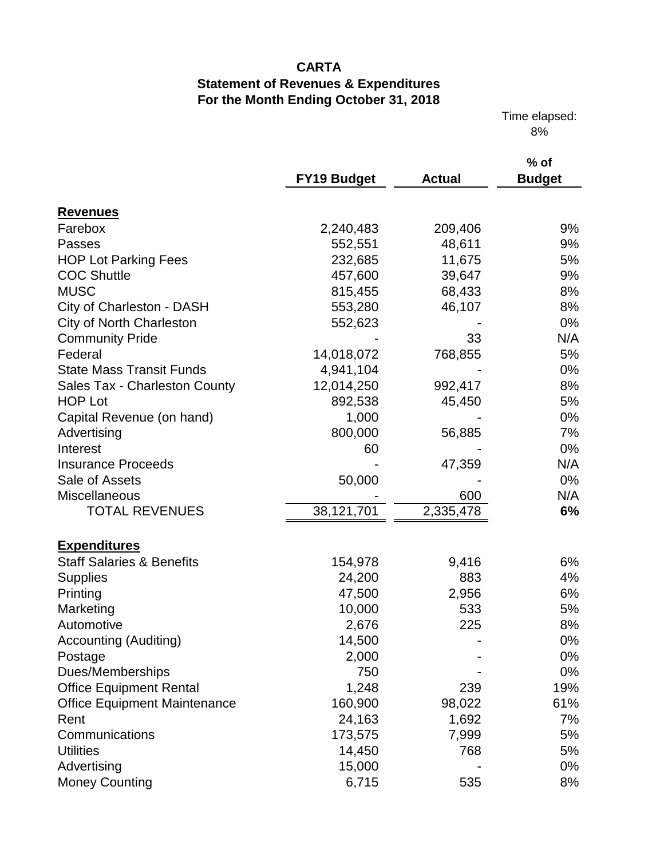Time elapsed: 8%

|                                      | <b>FY19 Budget</b> | <b>Actual</b> | $%$ of<br><b>Budget</b> |
|--------------------------------------|--------------------|---------------|-------------------------|
| <b>Revenues</b>                      |                    |               |                         |
| Farebox                              | 2,240,483          | 209,406       | 9%                      |
| <b>Passes</b>                        | 552,551            | 48,611        | 9%                      |
| <b>HOP Lot Parking Fees</b>          | 232,685            | 11,675        | 5%                      |
| <b>COC Shuttle</b>                   | 457,600            | 39,647        | 9%                      |
| <b>MUSC</b>                          | 815,455            | 68,433        | 8%                      |
| City of Charleston - DASH            | 553,280            | 46,107        | 8%                      |
| <b>City of North Charleston</b>      | 552,623            |               | $0\%$                   |
| <b>Community Pride</b>               |                    | 33            | N/A                     |
| Federal                              | 14,018,072         | 768,855       | 5%                      |
| <b>State Mass Transit Funds</b>      | 4,941,104          |               | 0%                      |
| Sales Tax - Charleston County        | 12,014,250         | 992,417       | 8%                      |
| <b>HOP Lot</b>                       | 892,538            | 45,450        | 5%                      |
| Capital Revenue (on hand)            | 1,000              |               | $0\%$                   |
| Advertising                          | 800,000            | 56,885        | 7%                      |
| Interest                             | 60                 |               | 0%                      |
| <b>Insurance Proceeds</b>            |                    | 47,359        | N/A                     |
| Sale of Assets                       | 50,000             |               | 0%                      |
| Miscellaneous                        |                    | 600           | N/A                     |
| <b>TOTAL REVENUES</b>                | 38,121,701         | 2,335,478     | 6%                      |
|                                      |                    |               |                         |
| <b>Expenditures</b>                  |                    |               |                         |
| <b>Staff Salaries &amp; Benefits</b> | 154,978            | 9,416         | 6%                      |
| <b>Supplies</b>                      | 24,200             | 883           | 4%                      |
| Printing                             | 47,500             | 2,956         | 6%                      |
| Marketing                            | 10,000             | 533           | 5%                      |
| Automotive                           | 2,676              | 225           | 8%                      |
| <b>Accounting (Auditing)</b>         | 14,500             |               | 0%                      |
| Postage                              | 2,000              |               | 0%                      |
| Dues/Memberships                     | 750                |               | 0%                      |
| <b>Office Equipment Rental</b>       | 1,248              | 239           | 19%                     |
| <b>Office Equipment Maintenance</b>  | 160,900            | 98,022        | 61%                     |
| Rent                                 | 24,163             | 1,692         | 7%                      |
| Communications                       | 173,575            | 7,999         | 5%                      |
| <b>Utilities</b>                     | 14,450             | 768           | 5%                      |
| Advertising                          | 15,000             |               | 0%                      |
| <b>Money Counting</b>                | 6,715              | 535           | 8%                      |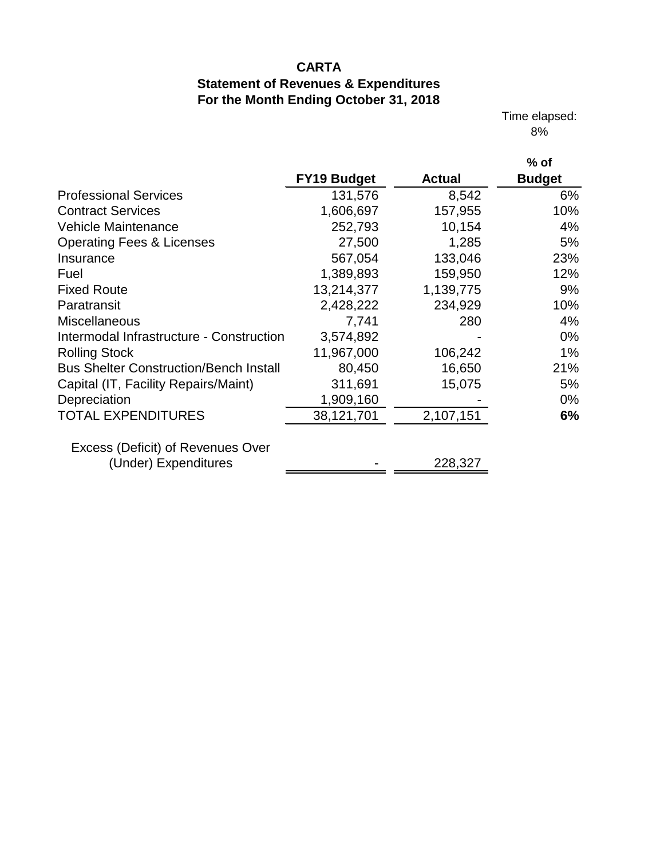Time elapsed: 8%

|                                               | <b>FY19 Budget</b> | <b>Actual</b> | $%$ of<br><b>Budget</b> |
|-----------------------------------------------|--------------------|---------------|-------------------------|
| <b>Professional Services</b>                  | 131,576            | 8,542         | 6%                      |
| <b>Contract Services</b>                      | 1,606,697          | 157,955       | 10%                     |
| <b>Vehicle Maintenance</b>                    | 252,793            | 10,154        | 4%                      |
| <b>Operating Fees &amp; Licenses</b>          | 27,500             | 1,285         | 5%                      |
| Insurance                                     | 567,054            | 133,046       | 23%                     |
| Fuel                                          | 1,389,893          | 159,950       | 12%                     |
| <b>Fixed Route</b>                            | 13,214,377         | 1,139,775     | 9%                      |
| Paratransit                                   | 2,428,222          | 234,929       | 10%                     |
| <b>Miscellaneous</b>                          | 7,741              | 280           | 4%                      |
| Intermodal Infrastructure - Construction      | 3,574,892          |               | $0\%$                   |
| <b>Rolling Stock</b>                          | 11,967,000         | 106,242       | 1%                      |
| <b>Bus Shelter Construction/Bench Install</b> | 80,450             | 16,650        | 21%                     |
| Capital (IT, Facility Repairs/Maint)          | 311,691            | 15,075        | 5%                      |
| Depreciation                                  | 1,909,160          |               | $0\%$                   |
| <b>TOTAL EXPENDITURES</b>                     | 38,121,701         | 2,107,151     | 6%                      |
| Excess (Deficit) of Revenues Over             |                    |               |                         |
| (Under) Expenditures                          |                    | 228,327       |                         |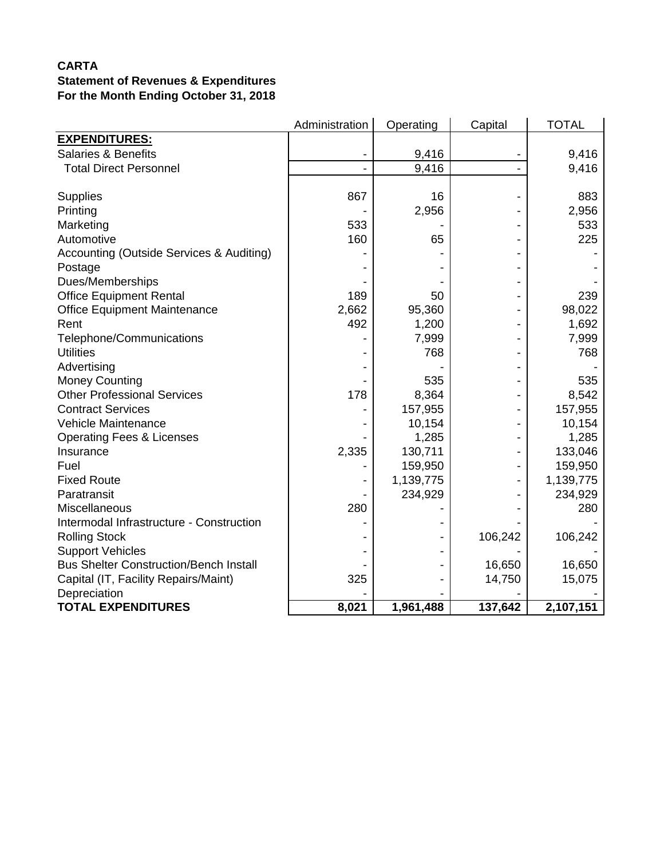|                                               | Administration | Operating | Capital | <b>TOTAL</b> |
|-----------------------------------------------|----------------|-----------|---------|--------------|
| <b>EXPENDITURES:</b>                          |                |           |         |              |
| <b>Salaries &amp; Benefits</b>                |                | 9,416     |         | 9,416        |
| <b>Total Direct Personnel</b>                 |                | 9,416     |         | 9,416        |
|                                               |                |           |         |              |
| <b>Supplies</b>                               | 867            | 16        |         | 883          |
| Printing                                      |                | 2,956     |         | 2,956        |
| Marketing                                     | 533            |           |         | 533          |
| Automotive                                    | 160            | 65        |         | 225          |
| Accounting (Outside Services & Auditing)      |                |           |         |              |
| Postage                                       |                |           |         |              |
| Dues/Memberships                              |                |           |         |              |
| <b>Office Equipment Rental</b>                | 189            | 50        |         | 239          |
| <b>Office Equipment Maintenance</b>           | 2,662          | 95,360    |         | 98,022       |
| Rent                                          | 492            | 1,200     |         | 1,692        |
| Telephone/Communications                      |                | 7,999     |         | 7,999        |
| <b>Utilities</b>                              |                | 768       |         | 768          |
| Advertising                                   |                |           |         |              |
| <b>Money Counting</b>                         |                | 535       |         | 535          |
| <b>Other Professional Services</b>            | 178            | 8,364     |         | 8,542        |
| <b>Contract Services</b>                      |                | 157,955   |         | 157,955      |
| Vehicle Maintenance                           |                | 10,154    |         | 10,154       |
| <b>Operating Fees &amp; Licenses</b>          |                | 1,285     |         | 1,285        |
| Insurance                                     | 2,335          | 130,711   |         | 133,046      |
| Fuel                                          |                | 159,950   |         | 159,950      |
| <b>Fixed Route</b>                            |                | 1,139,775 |         | 1,139,775    |
| Paratransit                                   |                | 234,929   |         | 234,929      |
| Miscellaneous                                 | 280            |           |         | 280          |
| Intermodal Infrastructure - Construction      |                |           |         |              |
| <b>Rolling Stock</b>                          |                |           | 106,242 | 106,242      |
| <b>Support Vehicles</b>                       |                |           |         |              |
| <b>Bus Shelter Construction/Bench Install</b> |                |           | 16,650  | 16,650       |
| Capital (IT, Facility Repairs/Maint)          | 325            |           | 14,750  | 15,075       |
| Depreciation                                  |                |           |         |              |
| <b>TOTAL EXPENDITURES</b>                     | 8,021          | 1,961,488 | 137,642 | 2,107,151    |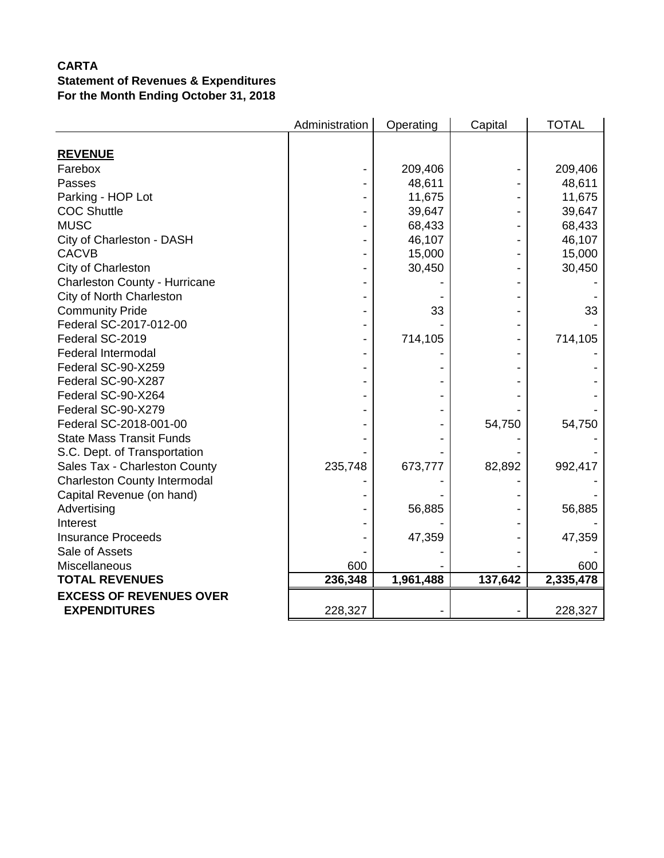|                                     | Administration | Operating | Capital | <b>TOTAL</b> |
|-------------------------------------|----------------|-----------|---------|--------------|
|                                     |                |           |         |              |
| <b>REVENUE</b>                      |                |           |         |              |
| Farebox                             |                | 209,406   |         | 209,406      |
| Passes                              |                | 48,611    |         | 48,611       |
| Parking - HOP Lot                   |                | 11,675    |         | 11,675       |
| <b>COC Shuttle</b>                  |                | 39,647    |         | 39,647       |
| <b>MUSC</b>                         |                | 68,433    |         | 68,433       |
| City of Charleston - DASH           |                | 46,107    |         | 46,107       |
| <b>CACVB</b>                        |                | 15,000    |         | 15,000       |
| City of Charleston                  |                | 30,450    |         | 30,450       |
| Charleston County - Hurricane       |                |           |         |              |
| City of North Charleston            |                |           |         |              |
| <b>Community Pride</b>              |                | 33        |         | 33           |
| Federal SC-2017-012-00              |                |           |         |              |
| Federal SC-2019                     |                | 714,105   |         | 714,105      |
| <b>Federal Intermodal</b>           |                |           |         |              |
| Federal SC-90-X259                  |                |           |         |              |
| Federal SC-90-X287                  |                |           |         |              |
| Federal SC-90-X264                  |                |           |         |              |
| Federal SC-90-X279                  |                |           |         |              |
| Federal SC-2018-001-00              |                |           | 54,750  | 54,750       |
| <b>State Mass Transit Funds</b>     |                |           |         |              |
| S.C. Dept. of Transportation        |                |           |         |              |
| Sales Tax - Charleston County       | 235,748        | 673,777   | 82,892  | 992,417      |
| <b>Charleston County Intermodal</b> |                |           |         |              |
| Capital Revenue (on hand)           |                |           |         |              |
| Advertising                         |                | 56,885    |         | 56,885       |
| Interest                            |                |           |         |              |
| <b>Insurance Proceeds</b>           |                | 47,359    |         | 47,359       |
| Sale of Assets                      |                |           |         |              |
| Miscellaneous                       | 600            |           |         | 600          |
| <b>TOTAL REVENUES</b>               | 236,348        | 1,961,488 | 137,642 | 2,335,478    |
| <b>EXCESS OF REVENUES OVER</b>      |                |           |         |              |
| <b>EXPENDITURES</b>                 | 228,327        |           |         | 228,327      |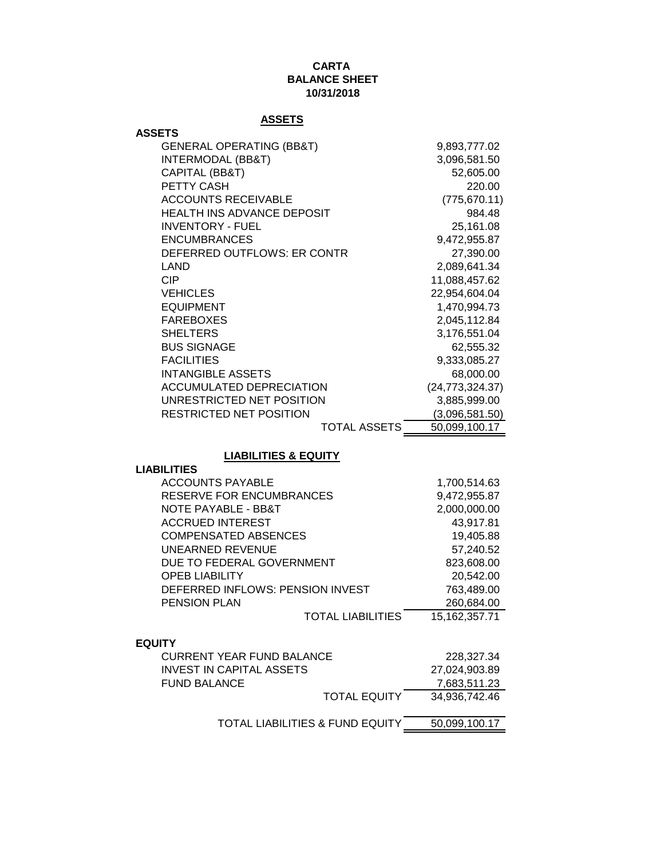## **CARTA BALANCE SHEET 10/31/2018**

## **ASSETS**

| <b>ASSETS</b>                       |                   |
|-------------------------------------|-------------------|
| <b>GENERAL OPERATING (BB&amp;T)</b> | 9,893,777.02      |
| <b>INTERMODAL (BB&amp;T)</b>        | 3,096,581.50      |
| CAPITAL (BB&T)                      | 52,605.00         |
| <b>PETTY CASH</b>                   | 220.00            |
| <b>ACCOUNTS RECEIVABLE</b>          | (775, 670.11)     |
| <b>HEALTH INS ADVANCE DEPOSIT</b>   | 984.48            |
| <b>INVENTORY - FUEL</b>             | 25,161.08         |
| <b>ENCUMBRANCES</b>                 | 9,472,955.87      |
| DEFERRED OUTFLOWS: ER CONTR         | 27,390.00         |
| LAND                                | 2,089,641.34      |
| <b>CIP</b>                          | 11,088,457.62     |
| <b>VEHICLES</b>                     | 22,954,604.04     |
| <b>EQUIPMENT</b>                    | 1,470,994.73      |
| <b>FAREBOXES</b>                    | 2,045,112.84      |
| <b>SHELTERS</b>                     | 3,176,551.04      |
| <b>BUS SIGNAGE</b>                  | 62,555.32         |
| <b>FACILITIES</b>                   | 9,333,085.27      |
| <b>INTANGIBLE ASSETS</b>            | 68,000.00         |
| ACCUMULATED DEPRECIATION            | (24, 773, 324.37) |
| UNRESTRICTED NET POSITION           | 3,885,999.00      |
| RESTRICTED NET POSITION             | (3,096,581.50)    |
| <b>TOTAL ASSETS</b>                 | 50,099,100.17     |

#### **LIABILITIES & EQUITY**

#### **LIABILITIES**

| <b>ACCOUNTS PAYABLE</b>          | 1,700,514.63     |
|----------------------------------|------------------|
| <b>RESERVE FOR ENCUMBRANCES</b>  | 9,472,955.87     |
| NOTE PAYABLE - BB&T              | 2,000,000.00     |
| <b>ACCRUED INTEREST</b>          | 43,917.81        |
| <b>COMPENSATED ABSENCES</b>      | 19,405.88        |
| UNEARNED REVENUE                 | 57,240.52        |
| DUE TO FEDERAL GOVERNMENT        | 823,608.00       |
| <b>OPEB LIABILITY</b>            | 20,542.00        |
| DEFERRED INFLOWS: PENSION INVEST | 763,489.00       |
| <b>PENSION PLAN</b>              | 260,684.00       |
| <b>TOTAL LIABILITIES</b>         | 15, 162, 357. 71 |
|                                  |                  |

## **EQUITY**

| <b>CURRENT YEAR FUND BALANCE</b> |                     | 228.327.34    |
|----------------------------------|---------------------|---------------|
| INVEST IN CAPITAL ASSETS         |                     | 27.024.903.89 |
| <b>FUND BALANCE</b>              |                     | 7.683.511.23  |
|                                  | <b>TOTAL EQUITY</b> | 34.936.742.46 |

TOTAL LIABILITIES & FUND EQUITY 50,099,100.17